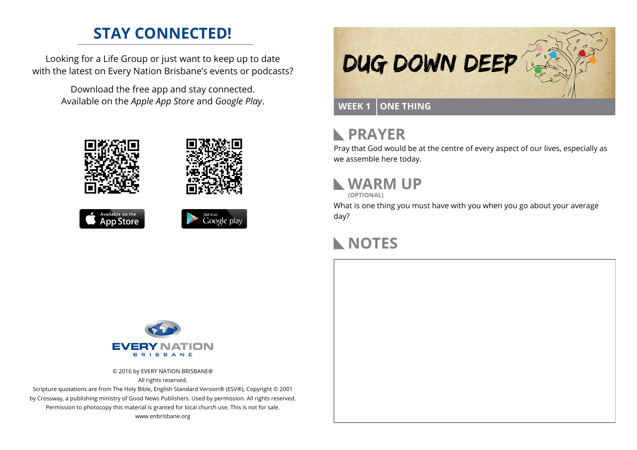### **STAY CONNECTED!**

Looking for a Life Group or just want to keep up to date with the latest on Every Nation Brisbane's events or podcasts?

> Download the free app and stay connected. Available on the *Apple App Store* and *Google Play*.











#### **PRAYER**  $\mathbb{R}$

Pray that God would be at the centre of every aspect of our lives, especially as we assemble here today.

# **WARM UP**

**(OPTIONAL)**

What is one thing you must have with you when you go about your average day?

# **NOTES**



© 2016 by EVERY NATION BRISBANE® All rights reserved.

Scripture quotations are from The Holy Bible, English Standard Version® (ESV®), Copyright © 2001 by Crossway, a publishing ministry of Good News Publishers. Used by permission. All rights reserved. Permission to photocopy this material is granted for local church use. This is not for sale. www.enbrisbane.org